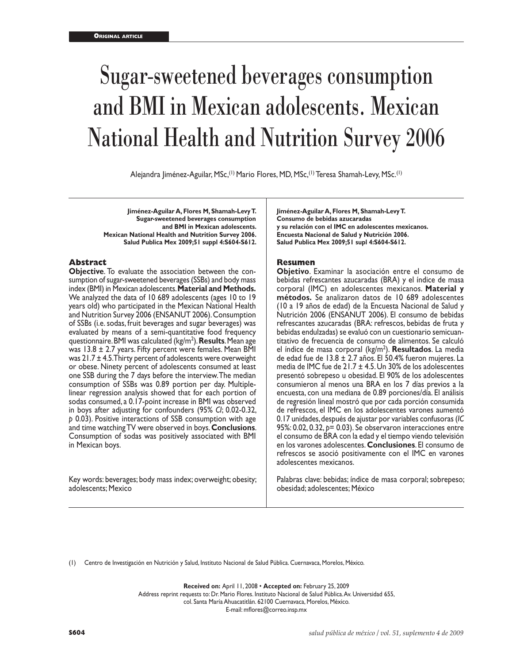# Sugar-sweetened beverages consumption and BMI in Mexican adolescents. Mexican National Health and Nutrition Survey 2006

Alejandra Jiménez-Aguilar, MSc,(1) Mario Flores, MD, MSc,(1) Teresa Shamah-Levy, MSc.(1)

**Jiménez-Aguilar A, Flores M, Shamah-Levy T. Sugar-sweetened beverages consumption and BMI in Mexican adolescents. Mexican National Health and Nutrition Survey 2006. Salud Publica Mex 2009;51 suppl 4:S604-S612.**

#### **Abstract**

**Objective**. To evaluate the association between the consumption of sugar-sweetened beverages (SSBs) and body mass index (BMI) in Mexican adolescents. **Material and Methods.** We analyzed the data of 10 689 adolescents (ages 10 to 19 years old) who participated in the Mexican National Health and Nutrition Survey 2006 (ENSANUT 2006). Consumption of SSBs (i.e. sodas, fruit beverages and sugar beverages) was evaluated by means of a semi-quantitative food frequency questionnaire. BMI was calculated (kg/m2 ). **Results**. Mean age was 13.8 ± 2.7 years. Fifty percent were females. Mean BMI was  $21.7 \pm 4.5$ . Thirty percent of adolescents were overweight or obese. Ninety percent of adolescents consumed at least one SSB during the 7 days before the interview. The median consumption of SSBs was 0.89 portion per day. Multiplelinear regression analysis showed that for each portion of sodas consumed, a 0.17-point increase in BMI was observed in boys after adjusting for confounders (95% *CI*; 0.02-0.32, *p* 0.03). Positive interactions of SSB consumption with age and time watching TV were observed in boys. **Conclusions**. Consumption of sodas was positively associated with BMI in Mexican boys.

Key words: beverages; body mass index; overweight; obesity; adolescents; Mexico

**Jiménez-Aguilar A, Flores M, Shamah-Levy T. Consumo de bebidas azucaradas y su relación con el IMC en adolescentes mexicanos. Encuesta Nacional de Salud y Nutrición 2006. Salud Publica Mex 2009;51 supl 4:S604-S612.**

#### **Resumen**

**Objetivo**. Examinar la asociación entre el consumo de bebidas refrescantes azucaradas (BRA) y el índice de masa corporal (IMC) en adolescentes mexicanos. **Material y métodos.** Se analizaron datos de 10 689 adolescentes (10 a 19 años de edad) de la Encuesta Nacional de Salud y Nutrición 2006 (ENSANUT 2006). El consumo de bebidas refrescantes azucaradas (BRA: refrescos, bebidas de fruta y bebidas endulzadas) se evaluó con un cuestionario semicuantitativo de frecuencia de consumo de alimentos. Se calculó el índice de masa corporal (kg/m2 ). **Resultados**. La media de edad fue de 13.8 ± 2.7 años. El 50.4% fueron mujeres. La media de IMC fue de 21.7 ± 4.5. Un 30% de los adolescentes presentó sobrepeso u obesidad. El 90% de los adolescentes consumieron al menos una BRA en los 7 días previos a la encuesta, con una mediana de 0.89 porciones/día. El análisis de regresión lineal mostró que por cada porción consumida de refrescos, el IMC en los adolescentes varones aumentó 0.17 unidades, después de ajustar por variables confusoras (*IC* 95%: 0.02, 0.32, *p*= 0.03). Se observaron interacciones entre el consumo de BRA con la edad y el tiempo viendo televisión en los varones adolescentes. **Conclusiones**. El consumo de refrescos se asoció positivamente con el IMC en varones adolescentes mexicanos.

Palabras clave: bebidas; índice de masa corporal; sobrepeso; obesidad; adolescentes; México

(1) Centro de Investigación en Nutrición y Salud, Instituto Nacional de Salud Pública. Cuernavaca, Morelos, México.

**Received on:** April 11, 2008 • **Accepted on:** February 25, 2009 Address reprint requests to: Dr. Mario Flores. Instituto Nacional de Salud Pública. Av. Universidad 655, col. Santa María Ahuacatitlán. 62100 Cuernavaca, Morelos, México. E-mail: mflores@correo.insp.mx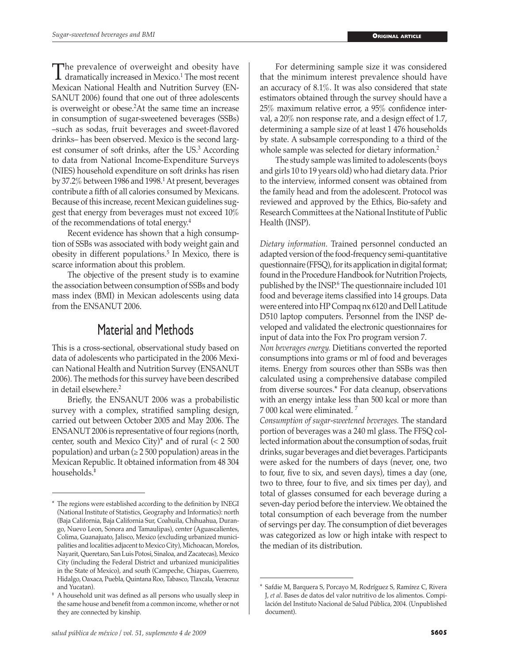The prevalence of overweight and obesity have<br>dramatically increased in Mexico.<sup>1</sup> The most recent<br>Mexicon Metional Haalth and Mutrition Survey (EM) Mexican National Health and Nutrition Survey (EN-SANUT 2006) found that one out of three adolescents is overweight or obese.2 At the same time an increase in consumption of sugar-sweetened beverages (SSBs) –such as sodas, fruit beverages and sweet-flavored drinks– has been observed. Mexico is the second largest consumer of soft drinks, after the US.<sup>3</sup> According to data from National Income-Expenditure Surveys (NIES) household expenditure on soft drinks has risen by 37.2% between 1986 and 1998.<sup>1</sup> At present, beverages contribute a fifth of all calories consumed by Mexicans. Because of this increase, recent Mexican guidelines suggest that energy from beverages must not exceed 10% of the recommendations of total energy.<sup>4</sup>

Recent evidence has shown that a high consumption of SSBs was associated with body weight gain and obesity in different populations.<sup>5</sup> In Mexico, there is scarce information about this problem.

The objective of the present study is to examine the association between consumption of SSBs and body mass index (BMI) in Mexican adolescents using data from the ENSANUT 2006.

## Material and Methods

This is a cross-sectional, observational study based on data of adolescents who participated in the 2006 Mexican National Health and Nutrition Survey (ENSANUT 2006). The methods for this survey have been described in detail elsewhere.<sup>2</sup>

Briefly, the ENSANUT 2006 was a probabilistic survey with a complex, stratified sampling design, carried out between October 2005 and May 2006. The ENSANUT 2006 is representative of four regions (north, center, south and Mexico City)\* and of rural  $(< 2500$ population) and urban ( $\geq 2500$  population) areas in the Mexican Republic. It obtained information from 48 304 households.‡

For determining sample size it was considered that the minimum interest prevalence should have an accuracy of 8.1%. It was also considered that state estimators obtained through the survey should have a 25% maximum relative error, a 95% confidence interval, a 20% non response rate, and a design effect of 1.7, determining a sample size of at least 1 476 households by state. A subsample corresponding to a third of the whole sample was selected for dietary information.<sup>2</sup>

The study sample was limited to adolescents (boys and girls 10 to 19 years old) who had dietary data. Prior to the interview, informed consent was obtained from the family head and from the adolescent. Protocol was reviewed and approved by the Ethics, Bio-safety and Research Committees at the National Institute of Public Health (INSP).

*Dietary information.* Trained personnel conducted an adapted version of the food-frequency semi-quantitative questionnaire (FFSQ), for its application in digital format; found in the Procedure Handbook for Nutrition Projects, published by the INSP.6 The questionnaire included 101 food and beverage items classified into 14 groups. Data were entered into HP Compaq nx 6120 and Dell Latitude D510 laptop computers. Personnel from the INSP developed and validated the electronic questionnaires for input of data into the Fox Pro program version 7.

*Non beverages energy.* Dietitians converted the reported consumptions into grams or ml of food and beverages items. Energy from sources other than SSBs was then calculated using a comprehensive database compiled from diverse sources.\* For data cleanup, observations with an energy intake less than 500 kcal or more than 7 000 kcal were eliminated. <sup>7</sup>

*Consumption of sugar-sweetened beverages.* The standard portion of beverages was a 240 ml glass. The FFSQ collected information about the consumption of sodas, fruit drinks, sugar beverages and diet beverages. Participants were asked for the numbers of days (never, one, two to four, five to six, and seven days), times a day (one, two to three, four to five, and six times per day), and total of glasses consumed for each beverage during a seven-day period before the interview. We obtained the total consumption of each beverage from the number of servings per day. The consumption of diet beverages was categorized as low or high intake with respect to the median of its distribution.

The regions were established according to the definition by INEGI (National Institute of Statistics, Geography and Informatics): north (Baja California, Baja California Sur, Coahuila, Chihuahua, Durango, Nuevo Leon, Sonora and Tamaulipas), center (Aguascalientes, Colima, Guanajuato, Jalisco, Mexico (excluding urbanized municipalities and localities adjacent to Mexico City), Michoacan, Morelos, Nayarit, Queretaro, San Luis Potosi, Sinaloa, and Zacatecas), Mexico City (including the Federal District and urbanized municipalities in the State of Mexico), and south (Campeche, Chiapas, Guerrero, Hidalgo, Oaxaca, Puebla, Quintana Roo, Tabasco, Tlaxcala, Veracruz and Yucatan).

<sup>‡</sup> A household unit was defined as all persons who usually sleep in the same house and benefit from a common income, whether or not they are connected by kinship.

<sup>\*</sup> Safdie M, Barquera S, Porcayo M, Rodríguez S, Ramírez C, Rivera J, *et al*. Bases de datos del valor nutritivo de los alimentos. Compilación del Instituto Nacional de Salud Pública, 2004. (Unpublished document).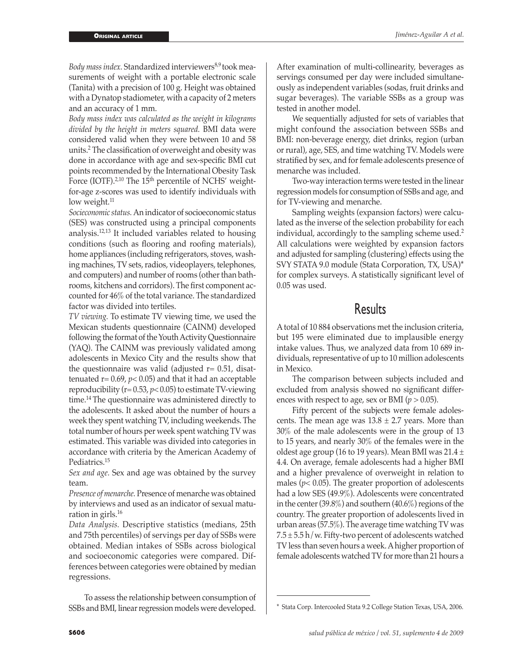Body mass index. Standardized interviewers<sup>8,9</sup> took measurements of weight with a portable electronic scale (Tanita) with a precision of 100 g. Height was obtained with a Dynatop stadiometer, with a capacity of 2 meters and an accuracy of 1 mm.

*Body mass index was calculated as the weight in kilograms divided by the height in meters squared.* BMI data were considered valid when they were between 10 and 58 units.2 The classification of overweight and obesity was done in accordance with age and sex-specific BMI cut points recommended by the International Obesity Task Force (IOTF).<sup>2,10</sup> The 15<sup>th</sup> percentile of NCHS' weightfor-age z-scores was used to identify individuals with low weight.<sup>11</sup>

*Socieconomic status.* An indicator of socioeconomic status (SES) was constructed using a principal components analysis.12,13 It included variables related to housing conditions (such as flooring and roofing materials), home appliances (including refrigerators, stoves, washing machines, TV sets, radios, videoplayers, telephones, and computers) and number of rooms (other than bathrooms, kitchens and corridors). The first component accounted for 46% of the total variance. The standardized factor was divided into tertiles.

*TV viewing.* To estimate TV viewing time, we used the Mexican students questionnaire (CAINM) developed following the format of the Youth Activity Questionnaire (YAQ). The CAINM was previously validated among adolescents in Mexico City and the results show that the questionnaire was valid (adjusted  $r = 0.51$ , disattenuated  $r = 0.69$ ,  $p < 0.05$ ) and that it had an acceptable reproducibility ( $r= 0.53$ ,  $p< 0.05$ ) to estimate TV-viewing time.14 The questionnaire was administered directly to the adolescents. It asked about the number of hours a week they spent watching TV, including weekends. The total number of hours per week spent watching TV was estimated. This variable was divided into categories in accordance with criteria by the American Academy of Pediatrics.15

*Sex and age.* Sex and age was obtained by the survey team.

*Presence of menarche.* Presence of menarche was obtained by interviews and used as an indicator of sexual maturation in girls.<sup>16</sup>

*Data Analysis.* Descriptive statistics (medians, 25th and 75th percentiles) of servings per day of SSBs were obtained. Median intakes of SSBs across biological and socioeconomic categories were compared. Differences between categories were obtained by median regressions.

To assess the relationship between consumption of SSBs and BMI, linear regression models were developed.

After examination of multi-collinearity, beverages as servings consumed per day were included simultaneously as independent variables (sodas, fruit drinks and sugar beverages). The variable SSBs as a group was tested in another model.

We sequentially adjusted for sets of variables that might confound the association between SSBs and BMI: non-beverage energy, diet drinks, region (urban or rural), age, SES, and time watching TV. Models were stratified by sex, and for female adolescents presence of menarche was included.

Two-way interaction terms were tested in the linear regression models for consumption of SSBs and age, and for TV-viewing and menarche.

Sampling weights (expansion factors) were calculated as the inverse of the selection probability for each individual, accordingly to the sampling scheme used.<sup>2</sup> All calculations were weighted by expansion factors and adjusted for sampling (clustering) effects using the SVY STATA 9.0 module (Stata Corporation, TX, USA)\* for complex surveys. A statistically significant level of 0.05 was used.

## Results

A total of 10 884 observations met the inclusion criteria, but 195 were eliminated due to implausible energy intake values. Thus, we analyzed data from 10 689 individuals, representative of up to 10 million adolescents in Mexico.

The comparison between subjects included and excluded from analysis showed no significant differences with respect to age, sex or BMI (*p* > 0.05).

Fifty percent of the subjects were female adolescents. The mean age was  $13.8 \pm 2.7$  years. More than 30% of the male adolescents were in the group of 13 to 15 years, and nearly 30% of the females were in the oldest age group (16 to 19 years). Mean BMI was  $21.4 \pm$ 4.4. On average, female adolescents had a higher BMI and a higher prevalence of overweight in relation to males ( $p$ < 0.05). The greater proportion of adolescents had a low SES (49.9%). Adolescents were concentrated in the center (39.8%) and southern (40.6%) regions of the country. The greater proportion of adolescents lived in urban areas (57.5%). The average time watching TV was  $7.5 \pm 5.5$  h/w. Fifty-two percent of adolescents watched TV less than seven hours a week. A higher proportion of female adolescents watched TV for more than 21 hours a

<sup>\*</sup> Stata Corp. Intercooled Stata 9.2 College Station Texas, USA, 2006.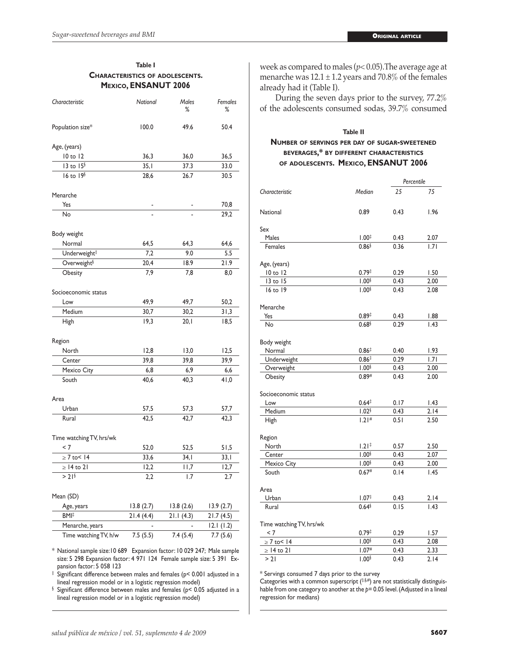#### **Table I Characteristics of adolescents. Mexico, ENSANUT 2006**

| Characteristic           | National  | Males<br>$\%$ | Females<br>% |  |
|--------------------------|-----------|---------------|--------------|--|
| Population size*         | 100.0     | 49.6          | 50.4         |  |
| Age, (years)             |           |               |              |  |
| 10 to 12                 | 36,3      | 36,0          | 36,5         |  |
| 13 to 15 <sup>§</sup>    | 35,1      | 37.3          | 33.0         |  |
| $16$ to $196$            | 28,6      | 26.7          | 30.5         |  |
| Menarche                 |           |               |              |  |
| Yes                      |           |               | 70,8         |  |
| No                       |           |               | 29,2         |  |
| Body weight              |           |               |              |  |
| Normal                   | 64,5      | 64,3          | 64,6         |  |
| Underweight#             | 7,2       | 9.0           | 5.5          |  |
| Overweight <sup>§</sup>  | 20,4      | 18.9          | 21.9         |  |
| Obesity                  | 7,9       | 7,8           | 8,0          |  |
| Socioeconomic status     |           |               |              |  |
| Low                      | 49,9      | 49,7          | 50,2         |  |
| Medium                   | 30,7      | 30,2          | 31,3         |  |
| High                     | 19,3      | 20,1          | 18,5         |  |
| Region                   |           |               |              |  |
| North                    | 12,8      | 13,0          | 12,5         |  |
| Center                   | 39,8      | 39,8          | 39,9         |  |
| Mexico City              | 6,8       | 6,9           | 6,6          |  |
| South                    | 40,6      | 40,3          | 41,0         |  |
| Area                     |           |               |              |  |
| Urban                    | 57,5      | 57,3          | 57,7         |  |
| Rural                    | 42,5      | 42,7          | 42,3         |  |
| Time watching TV, hrs/wk |           |               |              |  |
| < 7                      | 52,0      | 52,5          | 51,5         |  |
| $\geq 7$ to< 14          | 33,6      | 34,1          | 33,1         |  |
| $\geq$ 14 to 21          | 12,2      | I I,7         | 12,7         |  |
| > 21                     | 2,2       | 1.7           | 2.7          |  |
| Mean (SD)                |           |               |              |  |
| Age, years               | 13.8(2.7) | 13.8(2.6)     | 13.9(2.7)    |  |
| BMI <sup>‡</sup>         | 21.4(4.4) | 21.1(4.3)     | 21.7(4.5)    |  |
| Menarche, years          |           |               | 12.1(1.2)    |  |
| Time watching TV, h/w    | 7.5(5.5)  | 7.4(5.4)      | 7.7(5.6)     |  |

\* National sample size:10 689 Expansion factor: 10 029 247; Male sample size: 5 298 Expansion factor: 4 971 124 Female sample size: 5 391 Expansion factor: 5 058 123

‡ Significant difference between males and females (p< 0.001 adjusted in a lineal regression model or in a logistic regression model)

§ Significant difference between males and females (p< 0.05 adjusted in a lineal regression model or in a logistic regression model)

week as compared to males (*p*< 0.05).The average age at menarche was  $12.1 \pm 1.2$  years and 70.8% of the females already had it (Table I).

During the seven days prior to the survey, 77.2% of the adolescents consumed sodas, 39.7% consumed

#### **Table II Number of servings per day of sugar-sweetened beverages,\* by different characteristics of adolescents. Mexico, ENSANUT 2006**

|                          |                   | Percentile |      |  |  |
|--------------------------|-------------------|------------|------|--|--|
| Characteristic           | Median            | 25         | 75   |  |  |
| National                 | 0.89              | 0.43       | 1.96 |  |  |
| Sex                      |                   |            |      |  |  |
| Males                    | $1.00^{\ddagger}$ | 0.43       | 2.07 |  |  |
| Females                  | $0.86$ §          | 0.36       | 1.71 |  |  |
| Age, (years)             |                   |            |      |  |  |
| 10 to 12                 | 0.79 <sup>†</sup> | 0.29       | 1.50 |  |  |
| 13 to 15                 | 1.00 <sup>6</sup> | 0.43       | 2.00 |  |  |
| 16 to 19                 | 1.00 <sup>6</sup> | 0.43       | 2.08 |  |  |
| Menarche                 |                   |            |      |  |  |
| Yes                      | $0.89^{\ddagger}$ | 0.43       | 1.88 |  |  |
| No                       | 0.68 <sup>§</sup> | 0.29       | 1.43 |  |  |
| Body weight              |                   |            |      |  |  |
| Normal                   | 0.86 <sup>†</sup> | 0.40       | 1.93 |  |  |
| Underweight              | $0.86^{\ddagger}$ | 0.29       | 1.71 |  |  |
| Overweight               | 1.00 <sup>6</sup> | 0.43       | 2.00 |  |  |
| Obesity                  | 0.89#             | 0.43       | 2.00 |  |  |
| Socioeconomic status     |                   |            |      |  |  |
| Low                      | $0.64*$           | 0.17       | 1.43 |  |  |
| Medium                   | 1.02 <sup>6</sup> | 0.43       | 2.14 |  |  |
| High                     | 1.21#             | 0.51       | 2.50 |  |  |
| Region                   |                   |            |      |  |  |
| North                    | $1.21^{\ddagger}$ | 0.57       | 2.50 |  |  |
| Center                   | 1.00 <sup>6</sup> | 0.43       | 2.07 |  |  |
| Mexico City              | 1.00 <sup>6</sup> | 0.43       | 2.00 |  |  |
| South                    | 0.67#             | 0.14       | 1.45 |  |  |
| Area                     |                   |            |      |  |  |
| Urban                    | $1.07^{\ddagger}$ | 0.43       | 2.14 |  |  |
| Rural                    | 0.64              | 0.15       | 1.43 |  |  |
| Time watching TV, hrs/wk |                   |            |      |  |  |
| < 7                      | 0.79 <sup>‡</sup> | 0.29       | 1.57 |  |  |
| $\geq 7$ to< 14          | 1.00 <sup>§</sup> | 0.43       | 2.08 |  |  |
| $\geq$ 14 to 21          | 1.07 <sup>#</sup> | 0.43       | 2.33 |  |  |
| >21                      | 1.00 <sup>6</sup> | 0.43       | 2.14 |  |  |

\* Servings consumed 7 days prior to the survey

Categories with a common superscript  $($ #\$,#) are not statistically distinguishable from one category to another at the  $p=0.05$  level. (Adjusted in a lineal regression for medians)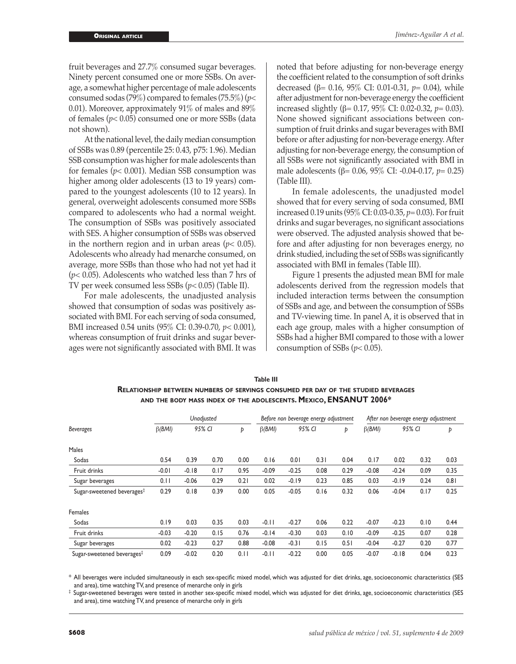fruit beverages and 27.7% consumed sugar beverages. Ninety percent consumed one or more SSBs. On average, a somewhat higher percentage of male adolescents consumed sodas (79%) compared to females (75.5%) (*p*< 0.01). Moreover, approximately 91% of males and 89% of females (*p*< 0.05) consumed one or more SSBs (data not shown).

At the national level, the daily median consumption of SSBs was 0.89 (percentile 25: 0.43, p75: 1.96). Median SSB consumption was higher for male adolescents than for females (*p*< 0.001). Median SSB consumption was higher among older adolescents (13 to 19 years) compared to the youngest adolescents (10 to 12 years). In general, overweight adolescents consumed more SSBs compared to adolescents who had a normal weight. The consumption of SSBs was positively associated with SES. A higher consumption of SSBs was observed in the northern region and in urban areas ( $p$ < 0.05). Adolescents who already had menarche consumed, on average, more SSBs than those who had not yet had it (*p*< 0.05). Adolescents who watched less than 7 hrs of TV per week consumed less SSBs (*p<* 0.05) (Table II).

For male adolescents, the unadjusted analysis showed that consumption of sodas was positively associated with BMI. For each serving of soda consumed, BMI increased 0.54 units (95% CI: 0.39-0.70, *p*< 0.001), whereas consumption of fruit drinks and sugar beverages were not significantly associated with BMI. It was noted that before adjusting for non-beverage energy the coefficient related to the consumption of soft drinks decreased (β*=* 0.16, 95% CI: 0.01-0.31, *p*= 0.04), while after adjustment for non-beverage energy the coefficient increased slightly (β= 0.17, 95% CI: 0.02-0.32, *p*= 0.03). None showed significant associations between consumption of fruit drinks and sugar beverages with BMI before or after adjusting for non-beverage energy. After adjusting for non-beverage energy, the consumption of all SSBs were not significantly associated with BMI in male adolescents (β= 0.06, 95% CI: -0.04-0.17, *p*= 0.25) (Table III).

In female adolescents, the unadjusted model showed that for every serving of soda consumed, BMI increased 0.19 units (95% CI: 0.03-0.35, *p*= 0.03). For fruit drinks and sugar beverages, no significant associations were observed. The adjusted analysis showed that before and after adjusting for non beverages energy, no drink studied, including the set of SSBs was significantly associated with BMI in females (Table III).

Figure 1 presents the adjusted mean BMI for male adolescents derived from the regression models that included interaction terms between the consumption of SSBs and age, and between the consumption of SSBs and TV-viewing time. In panel A, it is observed that in each age group, males with a higher consumption of SSBs had a higher BMI compared to those with a lower consumption of SSBs  $(p< 0.05)$ .

| <b>Beverages</b>                       | Unadjusted    |         |      | Before non beverage energy adjustment |               |         | After non beverage energy adjustment |      |               |         |      |      |
|----------------------------------------|---------------|---------|------|---------------------------------------|---------------|---------|--------------------------------------|------|---------------|---------|------|------|
|                                        | $\beta$ (BMI) | 95% CI  |      | Þ                                     | $\beta$ (BMI) | 95% CI  |                                      | Þ    | $\beta$ (BMI) | 95% CI  |      | Þ    |
| Males                                  |               |         |      |                                       |               |         |                                      |      |               |         |      |      |
| Sodas                                  | 0.54          | 0.39    | 0.70 | 0.00                                  | 0.16          | 0.01    | 0.31                                 | 0.04 | 0.17          | 0.02    | 0.32 | 0.03 |
| Fruit drinks                           | $-0.01$       | $-0.18$ | 0.17 | 0.95                                  | $-0.09$       | $-0.25$ | 0.08                                 | 0.29 | $-0.08$       | $-0.24$ | 0.09 | 0.35 |
| Sugar beverages                        | 0.11          | $-0.06$ | 0.29 | 0.21                                  | 0.02          | $-0.19$ | 0.23                                 | 0.85 | 0.03          | $-0.19$ | 0.24 | 0.81 |
| Sugar-sweetened beverages <sup>‡</sup> | 0.29          | 0.18    | 0.39 | 0.00                                  | 0.05          | $-0.05$ | 0.16                                 | 0.32 | 0.06          | $-0.04$ | 0.17 | 0.25 |
| Females                                |               |         |      |                                       |               |         |                                      |      |               |         |      |      |
| Sodas                                  | 0.19          | 0.03    | 0.35 | 0.03                                  | $-0.11$       | $-0.27$ | 0.06                                 | 0.22 | $-0.07$       | $-0.23$ | 0.10 | 0.44 |
| Fruit drinks                           | $-0.03$       | $-0.20$ | 0.15 | 0.76                                  | $-0.14$       | $-0.30$ | 0.03                                 | 0.10 | $-0.09$       | $-0.25$ | 0.07 | 0.28 |
| Sugar beverages                        | 0.02          | $-0.23$ | 0.27 | 0.88                                  | $-0.08$       | $-0.31$ | 0.15                                 | 0.51 | $-0.04$       | $-0.27$ | 0.20 | 0.77 |
| Sugar-sweetened beverages <sup>‡</sup> | 0.09          | $-0.02$ | 0.20 | 0.11                                  | $-0.11$       | $-0.22$ | 0.00                                 | 0.05 | $-0.07$       | $-0.18$ | 0.04 | 0.23 |

**Table III Relationship between numbers of servings consumed per day of the studied beverages and the body mass index of the adolescents. Mexico, ENSANUT 2006\***

\* All beverages were included simultaneously in each sex-specific mixed model, which was adjusted for diet drinks, age, socioeconomic characteristics (SES and area), time watching TV, and presence of menarche only in girls

‡ Sugar-sweetened beverages were tested in another sex-specific mixed model, which was adjusted for diet drinks, age, socioeconomic characteristics (SES and area), time watching TV, and presence of menarche only in girls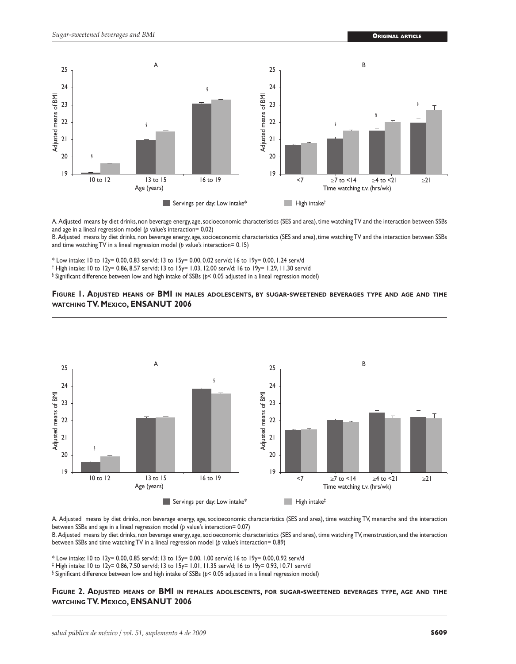

A. Adjusted means by diet drinks, non beverage energy, age, socioeconomic characteristics (SES and area), time watching TV and the interaction between SSBs and age in a lineal regression model (*p* value's interaction= 0.02)

B. Adjusted means by diet drinks, non beverage energy, age, socioeconomic characteristics (SES and area), time watching TV and the interaction between SSBs and time watching TV in a lineal regression model (*p* value's interaction= 0.15)

\* Low intake: 10 to 12y= 0.00, 0.83 serv/d; 13 to 15y= 0.00, 0.02 serv/d; 16 to 19y= 0.00, 1.24 serv/d

‡ High intake: 10 to 12y= 0.86, 8.57 serv/d; 13 to 15y= 1.03, 12.00 serv/d; 16 to 19y= 1.29, 11.30 serv/d

§ Significant difference between low and high intake of SSBs (*p*< 0.05 adjusted in a lineal regression model)





A. Adjusted means by diet drinks, non beverage energy, age, socioeconomic characteristics (SES and area), time watching TV, menarche and the interaction between SSBs and age in a lineal regression model (*p* value's interaction= 0.07)

B. Adjusted means by diet drinks, non beverage energy, age, socioeconomic characteristics (SES and area), time watching TV, menstruation, and the interaction between SSBs and time watching TV in a lineal regression model (*p* value's interaction= 0.89)

\* Low intake: 10 to 12y= 0.00, 0.85 serv/d; 13 to 15y= 0.00, 1.00 serv/d; 16 to 19y= 0.00, 0.92 serv/d

‡ High intake: 10 to 12y= 0.86, 7.50 serv/d; 13 to 15y= 1.01, 11.35 serv/d; 16 to 19y= 0.93, 10.71 serv/d

§ Significant difference between low and high intake of SSBs (*p*< 0.05 adjusted in a lineal regression model)

#### **Figure 2. Adjusted means of BMI in females adolescents, for sugar-sweetened beverages type, age and time watching TV. Mexico, ENSANUT 2006**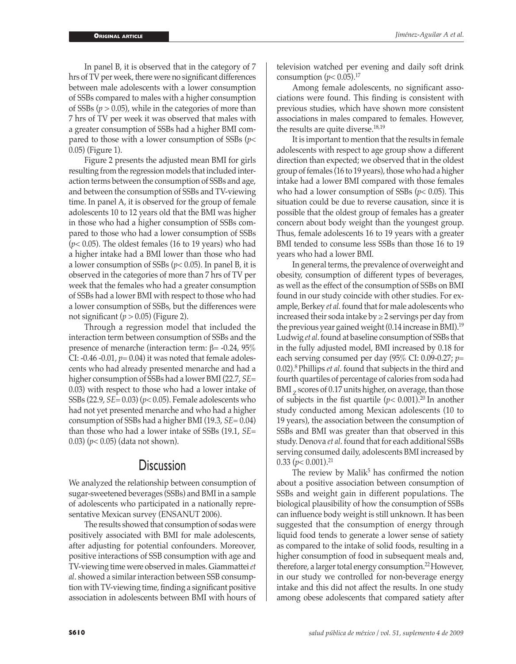In panel B, it is observed that in the category of 7 hrs of TV per week, there were no significant differences between male adolescents with a lower consumption of SSBs compared to males with a higher consumption of SSBs (*p* > 0.05), while in the categories of more than 7 hrs of TV per week it was observed that males with a greater consumption of SSBs had a higher BMI compared to those with a lower consumption of SSBs (*p*< 0.05) (Figure 1).

Figure 2 presents the adjusted mean BMI for girls resulting from the regression models that included interaction terms between the consumption of SSBs and age, and between the consumption of SSBs and TV-viewing time. In panel A, it is observed for the group of female adolescents 10 to 12 years old that the BMI was higher in those who had a higher consumption of SSBs compared to those who had a lower consumption of SSBs (*p*< 0.05). The oldest females (16 to 19 years) who had a higher intake had a BMI lower than those who had a lower consumption of SSBs (*p*< 0.05). In panel B, it is observed in the categories of more than 7 hrs of TV per week that the females who had a greater consumption of SSBs had a lower BMI with respect to those who had a lower consumption of SSBs, but the differences were not significant  $(p > 0.05)$  (Figure 2).

Through a regression model that included the interaction term between consumption of SSBs and the presence of menarche (interaction term: β= -0.24, 95%) CI:  $-0.46 - 0.01$ ,  $p = 0.04$ ) it was noted that female adolescents who had already presented menarche and had a higher consumption of SSBs had a lower BMI (22.7, *SE*= 0.03) with respect to those who had a lower intake of SSBs (22.9, *SE=* 0.03) (*p*< 0.05). Female adolescents who had not yet presented menarche and who had a higher consumption of SSBs had a higher BMI (19.3, *SE*= 0.04) than those who had a lower intake of SSBs (19.1, *SE*= 0.03) (*p*< 0.05) (data not shown).

### **Discussion**

We analyzed the relationship between consumption of sugar-sweetened beverages (SSBs) and BMI in a sample of adolescents who participated in a nationally representative Mexican survey (ENSANUT 2006).

The results showed that consumption of sodas were positively associated with BMI for male adolescents, after adjusting for potential confounders. Moreover, positive interactions of SSB consumption with age and TV-viewing time were observed in males. Giammattei *et al*. showed a similar interaction between SSB consumption with TV-viewing time, finding a significant positive association in adolescents between BMI with hours of television watched per evening and daily soft drink consumption  $(p< 0.05).^{17}$ 

Among female adolescents, no significant associations were found. This finding is consistent with previous studies, which have shown more consistent associations in males compared to females. However, the results are quite diverse.<sup>18,19</sup>

It is important to mention that the results in female adolescents with respect to age group show a different direction than expected; we observed that in the oldest group of females (16 to 19 years), those who had a higher intake had a lower BMI compared with those females who had a lower consumption of SSBs (*p*< 0.05). This situation could be due to reverse causation, since it is possible that the oldest group of females has a greater concern about body weight than the youngest group. Thus, female adolescents 16 to 19 years with a greater BMI tended to consume less SSBs than those 16 to 19 years who had a lower BMI.

In general terms, the prevalence of overweight and obesity, consumption of different types of beverages, as well as the effect of the consumption of SSBs on BMI found in our study coincide with other studies. For example, Berkey *et al.* found that for male adolescents who increased their soda intake by  $\geq$  2 servings per day from the previous year gained weight (0.14 increase in BMI).19 Ludwig *et al*. found at baseline consumption of SSBs that in the fully adjusted model, BMI increased by 0.18 for each serving consumed per day (95% CI: 0.09-0.27; *p*= 0.02).8 Phillips *et al*. found that subjects in the third and fourth quartiles of percentage of calories from soda had BMI  $<sub>7</sub>$  scores of 0.17 units higher, on average, than those</sub> of subjects in the fist quartile  $(p< 0.001)$ .<sup>20</sup> In another study conducted among Mexican adolescents (10 to 19 years), the association between the consumption of SSBs and BMI was greater than that observed in this study. Denova *et al.* found that for each additional SSBs serving consumed daily, adolescents BMI increased by  $0.33$  ( $p < 0.001$ )<sup>21</sup>

The review by Malik $5$  has confirmed the notion about a positive association between consumption of SSBs and weight gain in different populations. The biological plausibility of how the consumption of SSBs can influence body weight is still unknown. It has been suggested that the consumption of energy through liquid food tends to generate a lower sense of satiety as compared to the intake of solid foods, resulting in a higher consumption of food in subsequent meals and, therefore, a larger total energy consumption.<sup>22</sup> However, in our study we controlled for non-beverage energy intake and this did not affect the results. In one study among obese adolescents that compared satiety after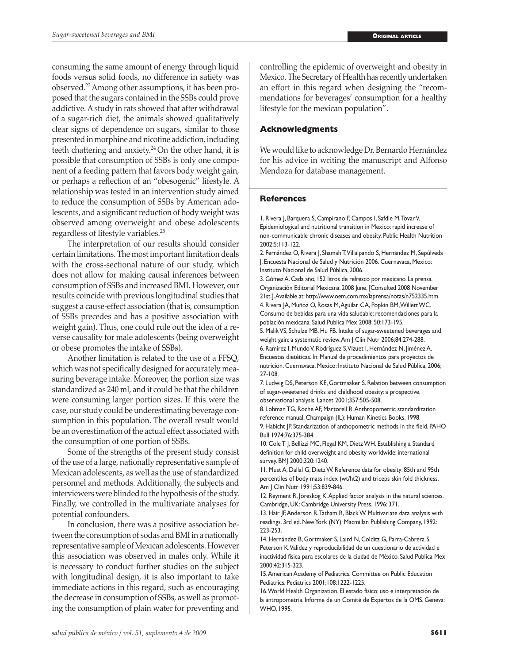consuming the same amount of energy through liquid foods versus solid foods, no difference in satiety was observed.23 Among other assumptions, it has been proposed that the sugars contained in the SSBs could prove addictive. A study in rats showed that after withdrawal of a sugar-rich diet, the animals showed qualitatively clear signs of dependence on sugars, similar to those presented in morphine and nicotine addiction, including teeth chattering and anxiety.<sup>24</sup> On the other hand, it is possible that consumption of SSBs is only one component of a feeding pattern that favors body weight gain, or perhaps a reflection of an "obesogenic" lifestyle. A relationship was tested in an intervention study aimed to reduce the consumption of SSBs by American adolescents, and a significant reduction of body weight was observed among overweight and obese adolescents regardless of lifestyle variables.25

The interpretation of our results should consider certain limitations. The most important limitation deals with the cross-sectional nature of our study, which does not allow for making causal inferences between consumption of SSBs and increased BMI. However, our results coincide with previous longitudinal studies that suggest a cause-effect association (that is, consumption of SSBs precedes and has a positive association with weight gain). Thus, one could rule out the idea of a reverse causality for male adolescents (being overweight or obese promotes the intake of SSBs).

Another limitation is related to the use of a FFSQ, which was not specifically designed for accurately measuring beverage intake. Moreover, the portion size was standardized as 240 ml, and it could be that the children were consuming larger portion sizes. If this were the case, our study could be underestimating beverage consumption in this population. The overall result would be an overestimation of the actual effect associated with the consumption of one portion of SSBs.

Some of the strengths of the present study consist of the use of a large, nationally representative sample of Mexican adolescents, as well as the use of standardized personnel and methods. Additionally, the subjects and interviewers were blinded to the hypothesis of the study. Finally, we controlled in the multivariate analyses for potential confounders.

In conclusion, there was a positive association between the consumption of sodas and BMI in a nationally representative sample of Mexican adolescents. However this association was observed in males only. While it is necessary to conduct further studies on the subject with longitudinal design, it is also important to take immediate actions in this regard, such as encouraging the decrease in consumption of SSBs, as well as promoting the consumption of plain water for preventing and

controlling the epidemic of overweight and obesity in Mexico. The Secretary of Health has recently undertaken an effort in this regard when designing the "recommendations for beverages' consumption for a healthy lifestyle for the mexican population".

#### **Acknowledgments**

We would like to acknowledge Dr. Bernardo Hernández for his advice in writing the manuscript and Alfonso Mendoza for database management.

#### **References**

1. Rivera J, Barquera S, Campirano F, Campos I, Safdie M, Tovar V. Epidemiological and nutritional transition in Mexico: rapid increase of non-communicable chronic diseases and obesity. Public Health Nutrition 2002;5:113-122.

2. Fernández O, Rivera I, Shamah T, Villalpando S, Hernández M, Sepúlveda J. Encuesta Nacional de Salud y Nutrición 2006. Cuernavaca, Mexico: Instituto Nacional de Salud Pública, 2006.

3. Gómez A. Cada año, 152 litros de refresco por mexicano. La prensa. Organización Editorial Mexicana. 2008 June. [Consulted 2008 November 21st.]. Available at: http://www.oem.com.mx/laprensa/notas/n752335.htm. 4. Rivera JA, Muñoz O, Rosas M, Aguilar CA, Popkin BM, Willett WC. Consumo de bebidas para una vida saludable: recomendaciones para la

población mexicana. Salud Publica Mex 2008; 50:173-195. 5. Malik VS, Schulze MB, Hu FB. Intake of sugar-sweetened beverages and

weight gain: a systematic review. Am J Clin Nutr 2006;84:274-288.

6. Ramírez I, Mundo V, Rodríguez S, Vizuet I, Hernández N, Jiménez A. Encuestas dietéticas. In: Manual de procedimientos para proyectos de nutrición. Cuernavaca, Mexico: Instituto Nacional de Salud Pública, 2006; 27-108.

7. Ludwig DS, Peterson KE, Gortmaaker S. Relation between consumption of sugar-sweetened drinks and childhood obesity: a prospective, observational analysis. Lancet 2001;357:505-508.

8. Lohman TG, Roche AF, Martorell R. Anthropometric standardization reference manual. Champaign (IL): Human Kinetics Books, 1998. 9. Habicht JP. Standarization of anthopometric methods in the field. PAHO Bull 1974;76:375-384.

10. Cole T J, Bellizzi MC, Flegal KM, Dietz WH. Establishing a Standard definition for child overweight and obesity worldwide: international survey. BMJ 2000;320:1240.

11. Must A, Dallal G, Dietz W. Reference data for obesity: 85th and 95th percentiles of body mass index (wt/ht2) and triceps skin fold thickness. Am J Clin Nutr 1991;53:839-846.

12. Reyment R, Jöreskog K. Applied factor analysis in the natural sciences. Cambridge, UK: Cambridge University Press, 1996: 371.

13. Hair JF, Anderson R, Tatham R, Black W. Multivariate data analysis with readings. 3rd ed. New York (NY): Macmillan Publishing Company, 1992: 223-253.

14. Hernández B, Gortmaker S, Laird N, Colditz G, Parra-Cabrera S, Peterson K. Validez y reproducibilidad de un cuestionario de actividad e inactividad física para escolares de la ciudad de México. Salud Publica Mex 2000;42:315-323.

15. American Academy of Pediatrics. Committee on Public Education Pediatrics. Pediatrics 2001;108:1222-1225.

16. World Health Organization. El estado físico: uso e interpretación de la antropometría. Informe de un Comité de Expertos de la OMS. Geneva: WHO, 1995.